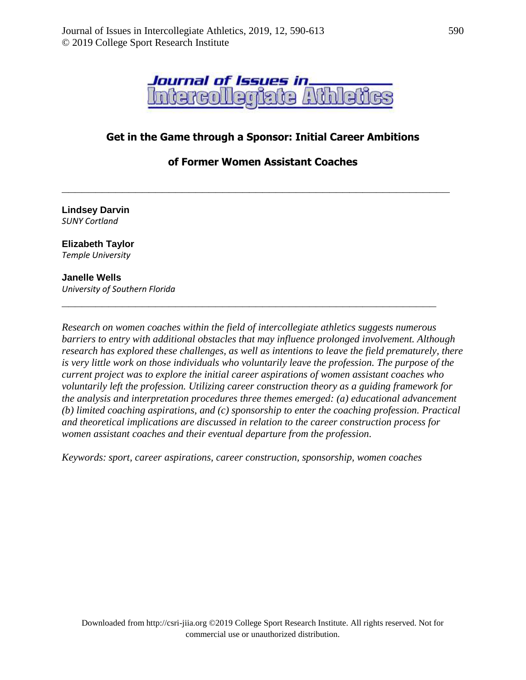

# **Get in the Game through a Sponsor: Initial Career Ambitions**

## **of Former Women Assistant Coaches**

**\_\_\_\_\_\_\_\_\_\_\_\_\_\_\_\_\_\_\_\_\_\_\_\_\_\_\_\_\_\_\_\_\_\_\_\_\_\_\_\_\_\_\_\_\_\_\_\_\_\_\_\_\_\_\_\_\_\_**

**Lindsey Darvin** *SUNY Cortland*

#### **Elizabeth Taylor** *Temple University*

### **Janelle Wells** *University of Southern Florida*

*Research on women coaches within the field of intercollegiate athletics suggests numerous barriers to entry with additional obstacles that may influence prolonged involvement. Although research has explored these challenges, as well as intentions to leave the field prematurely, there is very little work on those individuals who voluntarily leave the profession. The purpose of the current project was to explore the initial career aspirations of women assistant coaches who voluntarily left the profession. Utilizing career construction theory as a guiding framework for the analysis and interpretation procedures three themes emerged: (a) educational advancement (b) limited coaching aspirations, and (c) sponsorship to enter the coaching profession. Practical and theoretical implications are discussed in relation to the career construction process for women assistant coaches and their eventual departure from the profession.*

**\_\_\_\_\_\_\_\_\_\_\_\_\_\_\_\_\_\_\_\_\_\_\_\_\_\_\_\_\_\_\_\_\_\_\_\_\_\_\_\_\_\_\_\_\_\_\_\_\_\_\_\_\_\_\_\_**

*Keywords: sport, career aspirations, career construction, sponsorship, women coaches*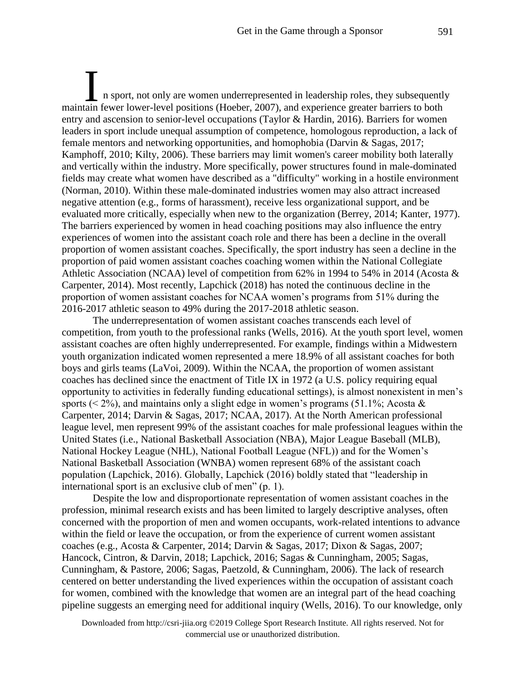n sport, not only are women underrepresented in leadership roles, they subsequently I a sport, not only are women underrepresented in leadership roles, they subsequently<br>maintain fewer lower-level positions (Hoeber, 2007), and experience greater barriers to both entry and ascension to senior-level occupations (Taylor & Hardin, 2016). Barriers for women leaders in sport include unequal assumption of competence, homologous reproduction, a lack of female mentors and networking opportunities, and homophobia (Darvin & Sagas, 2017; Kamphoff, 2010; Kilty, 2006). These barriers may limit women's career mobility both laterally and vertically within the industry. More specifically, power structures found in male-dominated fields may create what women have described as a "difficulty" working in a hostile environment (Norman, 2010). Within these male-dominated industries women may also attract increased negative attention (e.g., forms of harassment), receive less organizational support, and be evaluated more critically, especially when new to the organization (Berrey, 2014; Kanter, 1977). The barriers experienced by women in head coaching positions may also influence the entry experiences of women into the assistant coach role and there has been a decline in the overall proportion of women assistant coaches. Specifically, the sport industry has seen a decline in the proportion of paid women assistant coaches coaching women within the National Collegiate Athletic Association (NCAA) level of competition from 62% in 1994 to 54% in 2014 (Acosta & Carpenter, 2014). Most recently, Lapchick (2018) has noted the continuous decline in the proportion of women assistant coaches for NCAA women's programs from 51% during the 2016-2017 athletic season to 49% during the 2017-2018 athletic season.

The underrepresentation of women assistant coaches transcends each level of competition, from youth to the professional ranks (Wells, 2016). At the youth sport level, women assistant coaches are often highly underrepresented. For example, findings within a Midwestern youth organization indicated women represented a mere 18.9% of all assistant coaches for both boys and girls teams (LaVoi, 2009). Within the NCAA, the proportion of women assistant coaches has declined since the enactment of Title IX in 1972 (a U.S. policy requiring equal opportunity to activities in federally funding educational settings), is almost nonexistent in men's sports ( $\leq 2\%$ ), and maintains only a slight edge in women's programs (51.1%; Acosta & Carpenter, 2014; Darvin & Sagas, 2017; NCAA, 2017). At the North American professional league level, men represent 99% of the assistant coaches for male professional leagues within the United States (i.e., National Basketball Association (NBA), Major League Baseball (MLB), National Hockey League (NHL), National Football League (NFL)) and for the Women's National Basketball Association (WNBA) women represent 68% of the assistant coach population (Lapchick, 2016). Globally, Lapchick (2016) boldly stated that "leadership in international sport is an exclusive club of men" (p. 1).

Despite the low and disproportionate representation of women assistant coaches in the profession, minimal research exists and has been limited to largely descriptive analyses, often concerned with the proportion of men and women occupants, work-related intentions to advance within the field or leave the occupation, or from the experience of current women assistant coaches (e.g., Acosta & Carpenter, 2014; Darvin & Sagas, 2017; Dixon & Sagas, 2007; Hancock, Cintron, & Darvin, 2018; Lapchick, 2016; Sagas & Cunningham, 2005; Sagas, Cunningham, & Pastore, 2006; Sagas, Paetzold, & Cunningham, 2006). The lack of research centered on better understanding the lived experiences within the occupation of assistant coach for women, combined with the knowledge that women are an integral part of the head coaching pipeline suggests an emerging need for additional inquiry (Wells, 2016). To our knowledge, only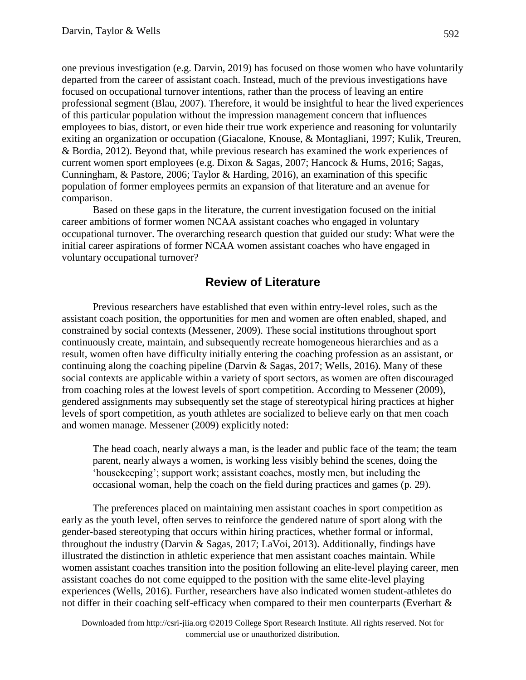one previous investigation (e.g. Darvin, 2019) has focused on those women who have voluntarily departed from the career of assistant coach. Instead, much of the previous investigations have focused on occupational turnover intentions, rather than the process of leaving an entire professional segment (Blau, 2007). Therefore, it would be insightful to hear the lived experiences of this particular population without the impression management concern that influences employees to bias, distort, or even hide their true work experience and reasoning for voluntarily exiting an organization or occupation (Giacalone, Knouse, & Montagliani, 1997; Kulik, Treuren, & Bordia, 2012). Beyond that, while previous research has examined the work experiences of current women sport employees (e.g. Dixon & Sagas, 2007; Hancock & Hums, 2016; Sagas, Cunningham, & Pastore, 2006; Taylor & Harding, 2016), an examination of this specific population of former employees permits an expansion of that literature and an avenue for comparison.

Based on these gaps in the literature, the current investigation focused on the initial career ambitions of former women NCAA assistant coaches who engaged in voluntary occupational turnover. The overarching research question that guided our study: What were the initial career aspirations of former NCAA women assistant coaches who have engaged in voluntary occupational turnover?

# **Review of Literature**

Previous researchers have established that even within entry-level roles, such as the assistant coach position, the opportunities for men and women are often enabled, shaped, and constrained by social contexts (Messener, 2009). These social institutions throughout sport continuously create, maintain, and subsequently recreate homogeneous hierarchies and as a result, women often have difficulty initially entering the coaching profession as an assistant, or continuing along the coaching pipeline (Darvin & Sagas, 2017; Wells, 2016). Many of these social contexts are applicable within a variety of sport sectors, as women are often discouraged from coaching roles at the lowest levels of sport competition. According to Messener (2009), gendered assignments may subsequently set the stage of stereotypical hiring practices at higher levels of sport competition, as youth athletes are socialized to believe early on that men coach and women manage. Messener (2009) explicitly noted:

The head coach, nearly always a man, is the leader and public face of the team; the team parent, nearly always a women, is working less visibly behind the scenes, doing the 'housekeeping'; support work; assistant coaches, mostly men, but including the occasional woman, help the coach on the field during practices and games (p. 29).

The preferences placed on maintaining men assistant coaches in sport competition as early as the youth level, often serves to reinforce the gendered nature of sport along with the gender-based stereotyping that occurs within hiring practices, whether formal or informal, throughout the industry (Darvin & Sagas, 2017; LaVoi, 2013). Additionally, findings have illustrated the distinction in athletic experience that men assistant coaches maintain. While women assistant coaches transition into the position following an elite-level playing career, men assistant coaches do not come equipped to the position with the same elite-level playing experiences (Wells, 2016). Further, researchers have also indicated women student-athletes do not differ in their coaching self-efficacy when compared to their men counterparts (Everhart &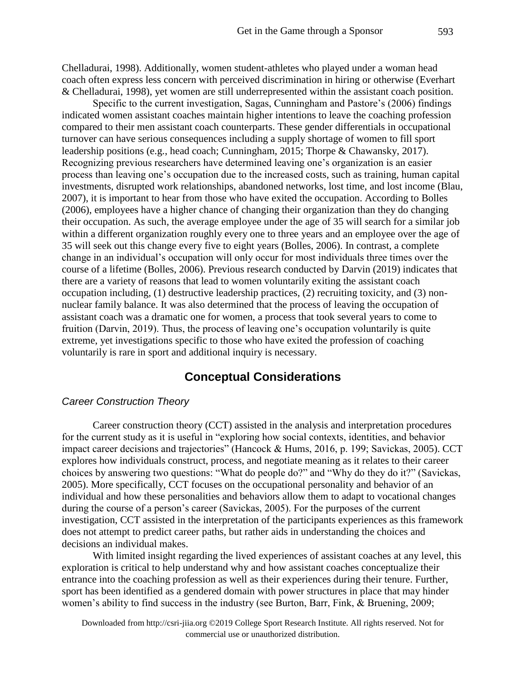Chelladurai, 1998). Additionally, women student-athletes who played under a woman head coach often express less concern with perceived discrimination in hiring or otherwise (Everhart & Chelladurai, 1998), yet women are still underrepresented within the assistant coach position.

Specific to the current investigation, Sagas, Cunningham and Pastore's (2006) findings indicated women assistant coaches maintain higher intentions to leave the coaching profession compared to their men assistant coach counterparts. These gender differentials in occupational turnover can have serious consequences including a supply shortage of women to fill sport leadership positions (e.g., head coach; Cunningham, 2015; Thorpe & Chawansky, 2017). Recognizing previous researchers have determined leaving one's organization is an easier process than leaving one's occupation due to the increased costs, such as training, human capital investments, disrupted work relationships, abandoned networks, lost time, and lost income (Blau, 2007), it is important to hear from those who have exited the occupation. According to Bolles (2006), employees have a higher chance of changing their organization than they do changing their occupation. As such, the average employee under the age of 35 will search for a similar job within a different organization roughly every one to three years and an employee over the age of 35 will seek out this change every five to eight years (Bolles, 2006). In contrast, a complete change in an individual's occupation will only occur for most individuals three times over the course of a lifetime (Bolles, 2006). Previous research conducted by Darvin (2019) indicates that there are a variety of reasons that lead to women voluntarily exiting the assistant coach occupation including, (1) destructive leadership practices, (2) recruiting toxicity, and (3) nonnuclear family balance. It was also determined that the process of leaving the occupation of assistant coach was a dramatic one for women, a process that took several years to come to fruition (Darvin, 2019). Thus, the process of leaving one's occupation voluntarily is quite extreme, yet investigations specific to those who have exited the profession of coaching voluntarily is rare in sport and additional inquiry is necessary.

# **Conceptual Considerations**

### *Career Construction Theory*

Career construction theory (CCT) assisted in the analysis and interpretation procedures for the current study as it is useful in "exploring how social contexts, identities, and behavior impact career decisions and trajectories" (Hancock & Hums, 2016, p. 199; Savickas, 2005). CCT explores how individuals construct, process, and negotiate meaning as it relates to their career choices by answering two questions: "What do people do?" and "Why do they do it?" (Savickas, 2005). More specifically, CCT focuses on the occupational personality and behavior of an individual and how these personalities and behaviors allow them to adapt to vocational changes during the course of a person's career (Savickas, 2005). For the purposes of the current investigation, CCT assisted in the interpretation of the participants experiences as this framework does not attempt to predict career paths, but rather aids in understanding the choices and decisions an individual makes.

With limited insight regarding the lived experiences of assistant coaches at any level, this exploration is critical to help understand why and how assistant coaches conceptualize their entrance into the coaching profession as well as their experiences during their tenure. Further, sport has been identified as a gendered domain with power structures in place that may hinder women's ability to find success in the industry (see Burton, Barr, Fink, & Bruening, 2009;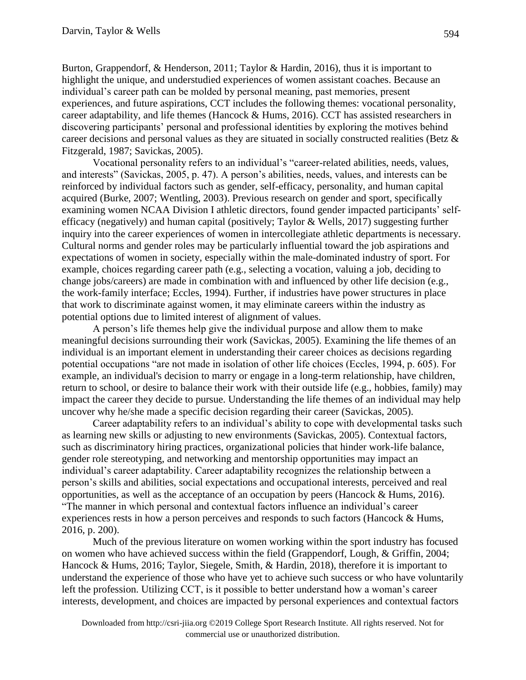Burton, Grappendorf, & Henderson, 2011; Taylor & Hardin, 2016), thus it is important to highlight the unique, and understudied experiences of women assistant coaches. Because an individual's career path can be molded by personal meaning, past memories, present experiences, and future aspirations, CCT includes the following themes: vocational personality, career adaptability, and life themes (Hancock & Hums, 2016). CCT has assisted researchers in discovering participants' personal and professional identities by exploring the motives behind career decisions and personal values as they are situated in socially constructed realities (Betz & Fitzgerald, 1987; Savickas, 2005).

Vocational personality refers to an individual's "career-related abilities, needs, values, and interests" (Savickas, 2005, p. 47). A person's abilities, needs, values, and interests can be reinforced by individual factors such as gender, self-efficacy, personality, and human capital acquired (Burke, 2007; Wentling, 2003). Previous research on gender and sport, specifically examining women NCAA Division I athletic directors, found gender impacted participants' selfefficacy (negatively) and human capital (positively; Taylor & Wells, 2017) suggesting further inquiry into the career experiences of women in intercollegiate athletic departments is necessary. Cultural norms and gender roles may be particularly influential toward the job aspirations and expectations of women in society, especially within the male-dominated industry of sport. For example, choices regarding career path (e.g., selecting a vocation, valuing a job, deciding to change jobs/careers) are made in combination with and influenced by other life decision (e.g., the work-family interface; Eccles, 1994). Further, if industries have power structures in place that work to discriminate against women, it may eliminate careers within the industry as potential options due to limited interest of alignment of values.

A person's life themes help give the individual purpose and allow them to make meaningful decisions surrounding their work (Savickas, 2005). Examining the life themes of an individual is an important element in understanding their career choices as decisions regarding potential occupations "are not made in isolation of other life choices (Eccles, 1994, p. 605). For example, an individual's decision to marry or engage in a long-term relationship, have children, return to school, or desire to balance their work with their outside life (e.g., hobbies, family) may impact the career they decide to pursue. Understanding the life themes of an individual may help uncover why he/she made a specific decision regarding their career (Savickas, 2005).

Career adaptability refers to an individual's ability to cope with developmental tasks such as learning new skills or adjusting to new environments (Savickas, 2005). Contextual factors, such as discriminatory hiring practices, organizational policies that hinder work-life balance, gender role stereotyping, and networking and mentorship opportunities may impact an individual's career adaptability. Career adaptability recognizes the relationship between a person's skills and abilities, social expectations and occupational interests, perceived and real opportunities, as well as the acceptance of an occupation by peers (Hancock  $\&$  Hums, 2016). "The manner in which personal and contextual factors influence an individual's career experiences rests in how a person perceives and responds to such factors (Hancock & Hums, 2016, p. 200).

Much of the previous literature on women working within the sport industry has focused on women who have achieved success within the field (Grappendorf, Lough, & Griffin, 2004; Hancock & Hums, 2016; Taylor, Siegele, Smith, & Hardin, 2018), therefore it is important to understand the experience of those who have yet to achieve such success or who have voluntarily left the profession. Utilizing CCT, is it possible to better understand how a woman's career interests, development, and choices are impacted by personal experiences and contextual factors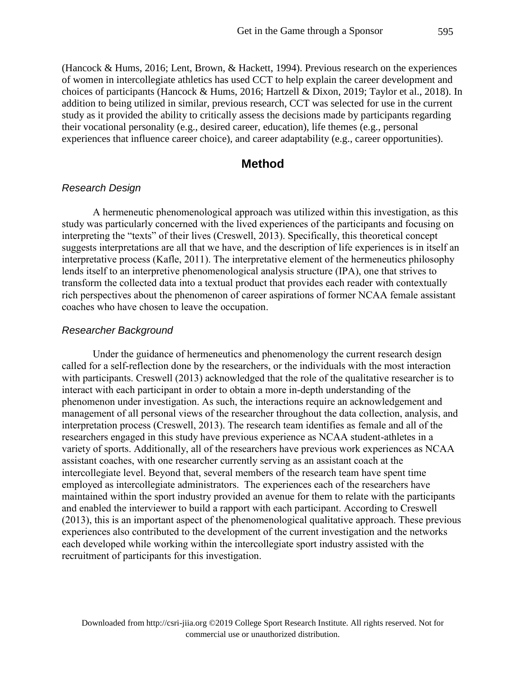(Hancock & Hums, 2016; Lent, Brown, & Hackett, 1994). Previous research on the experiences of women in intercollegiate athletics has used CCT to help explain the career development and choices of participants (Hancock & Hums, 2016; Hartzell & Dixon, 2019; Taylor et al., 2018). In addition to being utilized in similar, previous research, CCT was selected for use in the current study as it provided the ability to critically assess the decisions made by participants regarding their vocational personality (e.g., desired career, education), life themes (e.g., personal experiences that influence career choice), and career adaptability (e.g., career opportunities).

## **Method**

#### *Research Design*

A hermeneutic phenomenological approach was utilized within this investigation, as this study was particularly concerned with the lived experiences of the participants and focusing on interpreting the "texts" of their lives (Creswell, 2013). Specifically, this theoretical concept suggests interpretations are all that we have, and the description of life experiences is in itself an interpretative process (Kafle, 2011). The interpretative element of the hermeneutics philosophy lends itself to an interpretive phenomenological analysis structure (IPA), one that strives to transform the collected data into a textual product that provides each reader with contextually rich perspectives about the phenomenon of career aspirations of former NCAA female assistant coaches who have chosen to leave the occupation.

### *Researcher Background*

Under the guidance of hermeneutics and phenomenology the current research design called for a self-reflection done by the researchers, or the individuals with the most interaction with participants. Creswell (2013) acknowledged that the role of the qualitative researcher is to interact with each participant in order to obtain a more in-depth understanding of the phenomenon under investigation. As such, the interactions require an acknowledgement and management of all personal views of the researcher throughout the data collection, analysis, and interpretation process (Creswell, 2013). The research team identifies as female and all of the researchers engaged in this study have previous experience as NCAA student-athletes in a variety of sports. Additionally, all of the researchers have previous work experiences as NCAA assistant coaches, with one researcher currently serving as an assistant coach at the intercollegiate level. Beyond that, several members of the research team have spent time employed as intercollegiate administrators. The experiences each of the researchers have maintained within the sport industry provided an avenue for them to relate with the participants and enabled the interviewer to build a rapport with each participant. According to Creswell (2013), this is an important aspect of the phenomenological qualitative approach. These previous experiences also contributed to the development of the current investigation and the networks each developed while working within the intercollegiate sport industry assisted with the recruitment of participants for this investigation.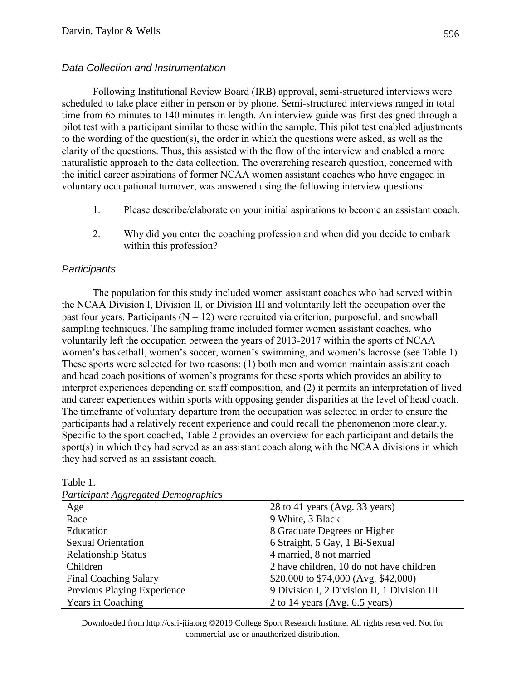## *Data Collection and Instrumentation*

Following Institutional Review Board (IRB) approval, semi-structured interviews were scheduled to take place either in person or by phone. Semi-structured interviews ranged in total time from 65 minutes to 140 minutes in length. An interview guide was first designed through a pilot test with a participant similar to those within the sample. This pilot test enabled adjustments to the wording of the question(s), the order in which the questions were asked, as well as the clarity of the questions. Thus, this assisted with the flow of the interview and enabled a more naturalistic approach to the data collection. The overarching research question, concerned with the initial career aspirations of former NCAA women assistant coaches who have engaged in voluntary occupational turnover, was answered using the following interview questions:

- 1. Please describe/elaborate on your initial aspirations to become an assistant coach.
- 2. Why did you enter the coaching profession and when did you decide to embark within this profession?

## *Participants*

The population for this study included women assistant coaches who had served within the NCAA Division I, Division II, or Division III and voluntarily left the occupation over the past four years. Participants  $(N = 12)$  were recruited via criterion, purposeful, and snowball sampling techniques. The sampling frame included former women assistant coaches, who voluntarily left the occupation between the years of 2013-2017 within the sports of NCAA women's basketball, women's soccer, women's swimming, and women's lacrosse (see Table 1). These sports were selected for two reasons: (1) both men and women maintain assistant coach and head coach positions of women's programs for these sports which provides an ability to interpret experiences depending on staff composition, and (2) it permits an interpretation of lived and career experiences within sports with opposing gender disparities at the level of head coach. The timeframe of voluntary departure from the occupation was selected in order to ensure the participants had a relatively recent experience and could recall the phenomenon more clearly. Specific to the sport coached, Table 2 provides an overview for each participant and details the sport(s) in which they had served as an assistant coach along with the NCAA divisions in which they had served as an assistant coach.

| <b>Participant Aggregated Demographics</b> |                                             |  |  |  |  |
|--------------------------------------------|---------------------------------------------|--|--|--|--|
| Age                                        | 28 to 41 years (Avg. 33 years)              |  |  |  |  |
| Race                                       | 9 White, 3 Black                            |  |  |  |  |
| Education                                  | 8 Graduate Degrees or Higher                |  |  |  |  |
| <b>Sexual Orientation</b>                  | 6 Straight, 5 Gay, 1 Bi-Sexual              |  |  |  |  |
| <b>Relationship Status</b>                 | 4 married, 8 not married                    |  |  |  |  |
| Children                                   | 2 have children, 10 do not have children    |  |  |  |  |
| <b>Final Coaching Salary</b>               | \$20,000 to \$74,000 (Avg. \$42,000)        |  |  |  |  |
| Previous Playing Experience                | 9 Division I, 2 Division II, 1 Division III |  |  |  |  |
| Years in Coaching                          | 2 to 14 years (Avg. $6.5$ years)            |  |  |  |  |

Table 1.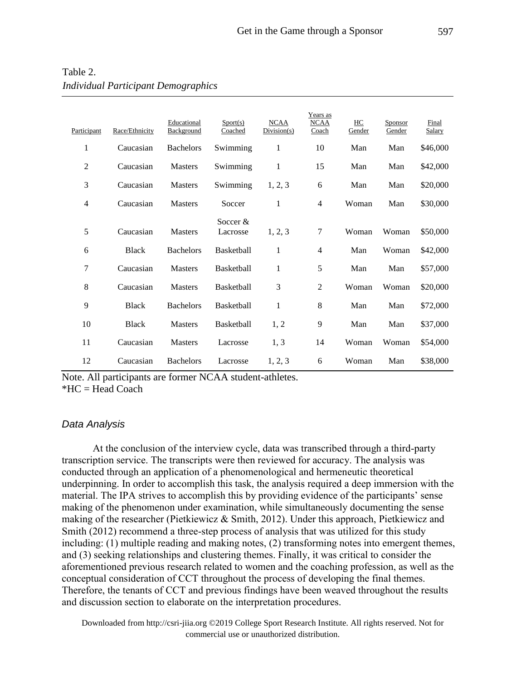| Participant | Race/Ethnicity | Educational<br>Background | Sports)<br>Coached     | <b>NCAA</b><br>Division(s) | Years as<br><b>NCAA</b><br>Coach | HC<br>Gender | Sponsor<br>Gender | Final<br>Salary |
|-------------|----------------|---------------------------|------------------------|----------------------------|----------------------------------|--------------|-------------------|-----------------|
| 1           | Caucasian      | <b>Bachelors</b>          | Swimming               | 1                          | 10                               | Man          | Man               | \$46,000        |
| 2           | Caucasian      | <b>Masters</b>            | Swimming               | 1                          | 15                               | Man          | Man               | \$42,000        |
| 3           | Caucasian      | <b>Masters</b>            | Swimming               | 1, 2, 3                    | 6                                | Man          | Man               | \$20,000        |
| 4           | Caucasian      | <b>Masters</b>            | Soccer                 | 1                          | $\overline{4}$                   | Woman        | Man               | \$30,000        |
| 5           | Caucasian      | <b>Masters</b>            | Soccer $&$<br>Lacrosse | 1, 2, 3                    | 7                                | Woman        | Woman             | \$50,000        |
| 6           | <b>Black</b>   | <b>Bachelors</b>          | Basketball             | 1                          | 4                                | Man          | Woman             | \$42,000        |
| 7           | Caucasian      | <b>Masters</b>            | Basketball             | $\mathbf{1}$               | 5                                | Man          | Man               | \$57,000        |
| 8           | Caucasian      | Masters                   | <b>Basketball</b>      | 3                          | 2                                | Woman        | Woman             | \$20,000        |
| 9           | <b>Black</b>   | <b>Bachelors</b>          | Basketball             | 1                          | 8                                | Man          | Man               | \$72,000        |
| 10          | <b>Black</b>   | <b>Masters</b>            | Basketball             | 1, 2                       | 9                                | Man          | Man               | \$37,000        |
| 11          | Caucasian      | <b>Masters</b>            | Lacrosse               | 1, 3                       | 14                               | Woman        | Woman             | \$54,000        |
| 12          | Caucasian      | <b>Bachelors</b>          | Lacrosse               | 1, 2, 3                    | 6                                | Woman        | Man               | \$38,000        |

Table 2. *Individual Participant Demographics*

Note. All participants are former NCAA student-athletes. \*HC = Head Coach

### *Data Analysis*

At the conclusion of the interview cycle, data was transcribed through a third-party transcription service. The transcripts were then reviewed for accuracy. The analysis was conducted through an application of a phenomenological and hermeneutic theoretical underpinning. In order to accomplish this task, the analysis required a deep immersion with the material. The IPA strives to accomplish this by providing evidence of the participants' sense making of the phenomenon under examination, while simultaneously documenting the sense making of the researcher (Pietkiewicz & Smith, 2012). Under this approach, Pietkiewicz and Smith (2012) recommend a three-step process of analysis that was utilized for this study including: (1) multiple reading and making notes, (2) transforming notes into emergent themes, and (3) seeking relationships and clustering themes. Finally, it was critical to consider the aforementioned previous research related to women and the coaching profession, as well as the conceptual consideration of CCT throughout the process of developing the final themes. Therefore, the tenants of CCT and previous findings have been weaved throughout the results and discussion section to elaborate on the interpretation procedures.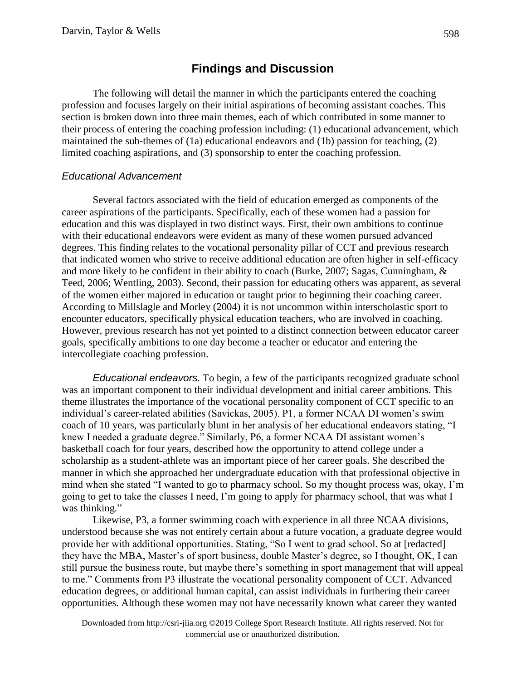# **Findings and Discussion**

The following will detail the manner in which the participants entered the coaching profession and focuses largely on their initial aspirations of becoming assistant coaches. This section is broken down into three main themes, each of which contributed in some manner to their process of entering the coaching profession including: (1) educational advancement, which maintained the sub-themes of (1a) educational endeavors and (1b) passion for teaching, (2) limited coaching aspirations, and (3) sponsorship to enter the coaching profession.

## *Educational Advancement*

Several factors associated with the field of education emerged as components of the career aspirations of the participants. Specifically, each of these women had a passion for education and this was displayed in two distinct ways. First, their own ambitions to continue with their educational endeavors were evident as many of these women pursued advanced degrees. This finding relates to the vocational personality pillar of CCT and previous research that indicated women who strive to receive additional education are often higher in self-efficacy and more likely to be confident in their ability to coach (Burke, 2007; Sagas, Cunningham, & Teed, 2006; Wentling, 2003). Second, their passion for educating others was apparent, as several of the women either majored in education or taught prior to beginning their coaching career. According to Millslagle and Morley (2004) it is not uncommon within interscholastic sport to encounter educators, specifically physical education teachers, who are involved in coaching. However, previous research has not yet pointed to a distinct connection between educator career goals, specifically ambitions to one day become a teacher or educator and entering the intercollegiate coaching profession.

*Educational endeavors.* To begin, a few of the participants recognized graduate school was an important component to their individual development and initial career ambitions. This theme illustrates the importance of the vocational personality component of CCT specific to an individual's career-related abilities (Savickas, 2005). P1, a former NCAA DI women's swim coach of 10 years, was particularly blunt in her analysis of her educational endeavors stating, "I knew I needed a graduate degree." Similarly, P6, a former NCAA DI assistant women's basketball coach for four years, described how the opportunity to attend college under a scholarship as a student-athlete was an important piece of her career goals. She described the manner in which she approached her undergraduate education with that professional objective in mind when she stated "I wanted to go to pharmacy school. So my thought process was, okay, I'm going to get to take the classes I need, I'm going to apply for pharmacy school, that was what I was thinking."

Likewise, P3, a former swimming coach with experience in all three NCAA divisions, understood because she was not entirely certain about a future vocation, a graduate degree would provide her with additional opportunities. Stating, "So I went to grad school. So at [redacted] they have the MBA, Master's of sport business, double Master's degree, so I thought, OK, I can still pursue the business route, but maybe there's something in sport management that will appeal to me." Comments from P3 illustrate the vocational personality component of CCT. Advanced education degrees, or additional human capital, can assist individuals in furthering their career opportunities. Although these women may not have necessarily known what career they wanted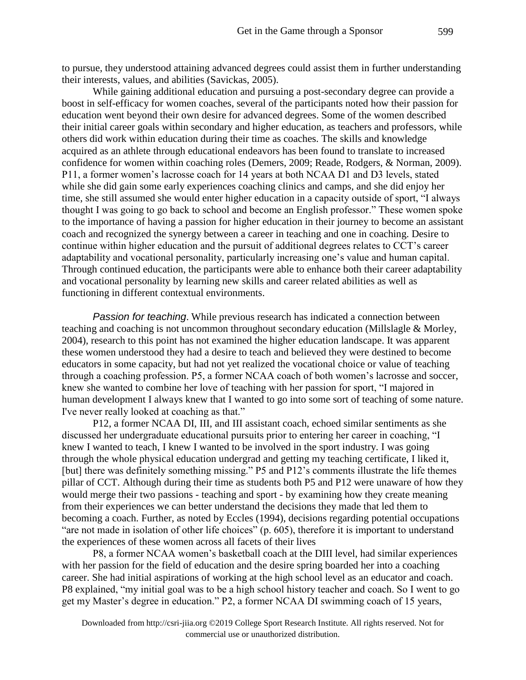to pursue, they understood attaining advanced degrees could assist them in further understanding their interests, values, and abilities (Savickas, 2005).

While gaining additional education and pursuing a post-secondary degree can provide a boost in self-efficacy for women coaches, several of the participants noted how their passion for education went beyond their own desire for advanced degrees. Some of the women described their initial career goals within secondary and higher education, as teachers and professors, while others did work within education during their time as coaches. The skills and knowledge acquired as an athlete through educational endeavors has been found to translate to increased confidence for women within coaching roles (Demers, 2009; Reade, Rodgers, & Norman, 2009). P11, a former women's lacrosse coach for 14 years at both NCAA D1 and D3 levels, stated while she did gain some early experiences coaching clinics and camps, and she did enjoy her time, she still assumed she would enter higher education in a capacity outside of sport, "I always thought I was going to go back to school and become an English professor." These women spoke to the importance of having a passion for higher education in their journey to become an assistant coach and recognized the synergy between a career in teaching and one in coaching. Desire to continue within higher education and the pursuit of additional degrees relates to CCT's career adaptability and vocational personality, particularly increasing one's value and human capital. Through continued education, the participants were able to enhance both their career adaptability and vocational personality by learning new skills and career related abilities as well as functioning in different contextual environments.

*Passion for teaching*. While previous research has indicated a connection between teaching and coaching is not uncommon throughout secondary education (Millslagle & Morley, 2004), research to this point has not examined the higher education landscape. It was apparent these women understood they had a desire to teach and believed they were destined to become educators in some capacity, but had not yet realized the vocational choice or value of teaching through a coaching profession. P5, a former NCAA coach of both women's lacrosse and soccer, knew she wanted to combine her love of teaching with her passion for sport, "I majored in human development I always knew that I wanted to go into some sort of teaching of some nature. I've never really looked at coaching as that."

P12, a former NCAA DI, III, and III assistant coach, echoed similar sentiments as she discussed her undergraduate educational pursuits prior to entering her career in coaching, "I knew I wanted to teach, I knew I wanted to be involved in the sport industry. I was going through the whole physical education undergrad and getting my teaching certificate, I liked it, [but] there was definitely something missing." P5 and P12's comments illustrate the life themes pillar of CCT. Although during their time as students both P5 and P12 were unaware of how they would merge their two passions - teaching and sport - by examining how they create meaning from their experiences we can better understand the decisions they made that led them to becoming a coach. Further, as noted by Eccles (1994), decisions regarding potential occupations "are not made in isolation of other life choices" (p. 605), therefore it is important to understand the experiences of these women across all facets of their lives

P8, a former NCAA women's basketball coach at the DIII level, had similar experiences with her passion for the field of education and the desire spring boarded her into a coaching career. She had initial aspirations of working at the high school level as an educator and coach. P8 explained, "my initial goal was to be a high school history teacher and coach. So I went to go get my Master's degree in education." P2, a former NCAA DI swimming coach of 15 years,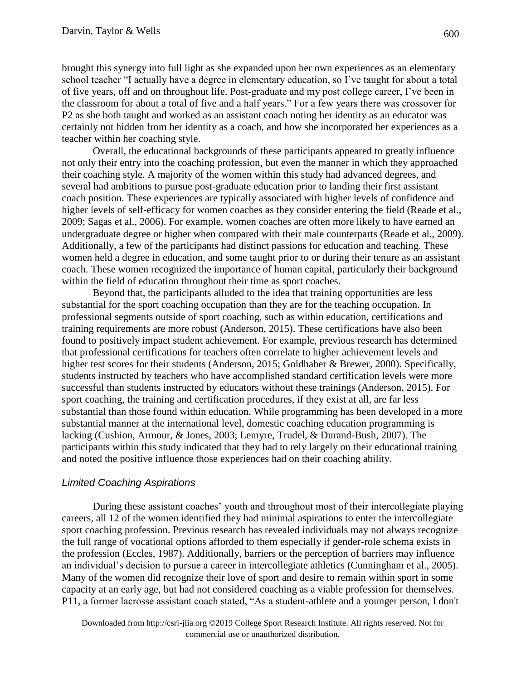brought this synergy into full light as she expanded upon her own experiences as an elementary school teacher "I actually have a degree in elementary education, so I've taught for about a total of five years, off and on throughout life. Post-graduate and my post college career, I've been in the classroom for about a total of five and a half years." For a few years there was crossover for P2 as she both taught and worked as an assistant coach noting her identity as an educator was certainly not hidden from her identity as a coach, and how she incorporated her experiences as a teacher within her coaching style.

Overall, the educational backgrounds of these participants appeared to greatly influence not only their entry into the coaching profession, but even the manner in which they approached their coaching style. A majority of the women within this study had advanced degrees, and several had ambitions to pursue post-graduate education prior to landing their first assistant coach position. These experiences are typically associated with higher levels of confidence and higher levels of self-efficacy for women coaches as they consider entering the field (Reade et al., 2009; Sagas et al., 2006). For example, women coaches are often more likely to have earned an undergraduate degree or higher when compared with their male counterparts (Reade et al., 2009). Additionally, a few of the participants had distinct passions for education and teaching. These women held a degree in education, and some taught prior to or during their tenure as an assistant coach. These women recognized the importance of human capital, particularly their background within the field of education throughout their time as sport coaches.

Beyond that, the participants alluded to the idea that training opportunities are less substantial for the sport coaching occupation than they are for the teaching occupation. In professional segments outside of sport coaching, such as within education, certifications and training requirements are more robust (Anderson, 2015). These certifications have also been found to positively impact student achievement. For example, previous research has determined that professional certifications for teachers often correlate to higher achievement levels and higher test scores for their students (Anderson, 2015; Goldhaber & Brewer, 2000). Specifically, students instructed by teachers who have accomplished standard certification levels were more successful than students instructed by educators without these trainings (Anderson, 2015). For sport coaching, the training and certification procedures, if they exist at all, are far less substantial than those found within education. While programming has been developed in a more substantial manner at the international level, domestic coaching education programming is lacking (Cushion, Armour, & Jones, 2003; Lemyre, Trudel, & Durand-Bush, 2007). The participants within this study indicated that they had to rely largely on their educational training and noted the positive influence those experiences had on their coaching ability.

## *Limited Coaching Aspirations*

During these assistant coaches' youth and throughout most of their intercollegiate playing careers, all 12 of the women identified they had minimal aspirations to enter the intercollegiate sport coaching profession. Previous research has revealed individuals may not always recognize the full range of vocational options afforded to them especially if gender-role schema exists in the profession (Eccles, 1987). Additionally, barriers or the perception of barriers may influence an individual's decision to pursue a career in intercollegiate athletics (Cunningham et al., 2005). Many of the women did recognize their love of sport and desire to remain within sport in some capacity at an early age, but had not considered coaching as a viable profession for themselves. P11, a former lacrosse assistant coach stated, "As a student-athlete and a younger person, I don't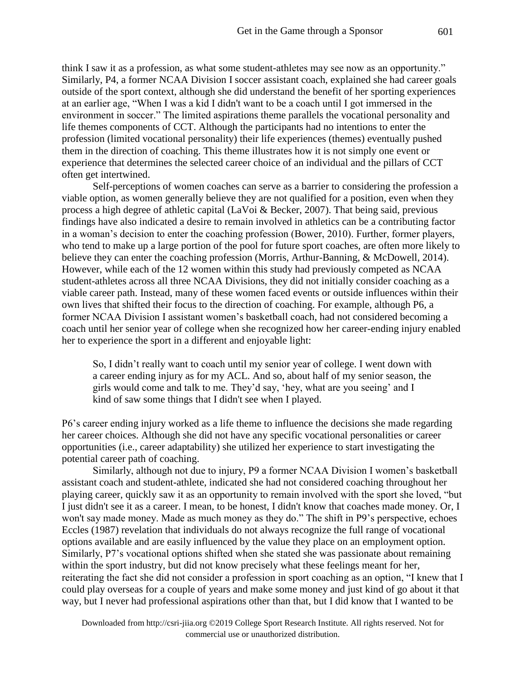think I saw it as a profession, as what some student-athletes may see now as an opportunity." Similarly, P4, a former NCAA Division I soccer assistant coach, explained she had career goals outside of the sport context, although she did understand the benefit of her sporting experiences at an earlier age, "When I was a kid I didn't want to be a coach until I got immersed in the environment in soccer." The limited aspirations theme parallels the vocational personality and life themes components of CCT. Although the participants had no intentions to enter the profession (limited vocational personality) their life experiences (themes) eventually pushed them in the direction of coaching. This theme illustrates how it is not simply one event or experience that determines the selected career choice of an individual and the pillars of CCT often get intertwined.

Self-perceptions of women coaches can serve as a barrier to considering the profession a viable option, as women generally believe they are not qualified for a position, even when they process a high degree of athletic capital (LaVoi & Becker, 2007). That being said, previous findings have also indicated a desire to remain involved in athletics can be a contributing factor in a woman's decision to enter the coaching profession (Bower, 2010). Further, former players, who tend to make up a large portion of the pool for future sport coaches, are often more likely to believe they can enter the coaching profession (Morris, Arthur-Banning, & McDowell, 2014). However, while each of the 12 women within this study had previously competed as NCAA student-athletes across all three NCAA Divisions, they did not initially consider coaching as a viable career path. Instead, many of these women faced events or outside influences within their own lives that shifted their focus to the direction of coaching. For example, although P6, a former NCAA Division I assistant women's basketball coach, had not considered becoming a coach until her senior year of college when she recognized how her career-ending injury enabled her to experience the sport in a different and enjoyable light:

So, I didn't really want to coach until my senior year of college. I went down with a career ending injury as for my ACL. And so, about half of my senior season, the girls would come and talk to me. They'd say, 'hey, what are you seeing' and I kind of saw some things that I didn't see when I played.

P6's career ending injury worked as a life theme to influence the decisions she made regarding her career choices. Although she did not have any specific vocational personalities or career opportunities (i.e., career adaptability) she utilized her experience to start investigating the potential career path of coaching.

Similarly, although not due to injury, P9 a former NCAA Division I women's basketball assistant coach and student-athlete, indicated she had not considered coaching throughout her playing career, quickly saw it as an opportunity to remain involved with the sport she loved, "but I just didn't see it as a career. I mean, to be honest, I didn't know that coaches made money. Or, I won't say made money. Made as much money as they do." The shift in P9's perspective, echoes Eccles (1987) revelation that individuals do not always recognize the full range of vocational options available and are easily influenced by the value they place on an employment option. Similarly, P7's vocational options shifted when she stated she was passionate about remaining within the sport industry, but did not know precisely what these feelings meant for her, reiterating the fact she did not consider a profession in sport coaching as an option, "I knew that I could play overseas for a couple of years and make some money and just kind of go about it that way, but I never had professional aspirations other than that, but I did know that I wanted to be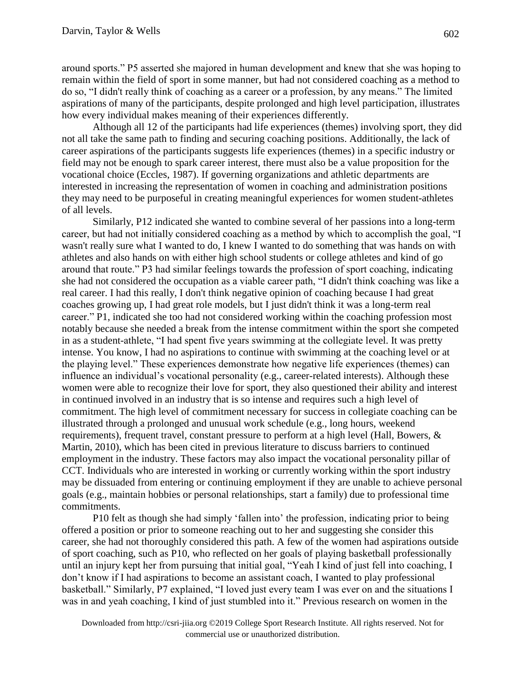around sports." P5 asserted she majored in human development and knew that she was hoping to remain within the field of sport in some manner, but had not considered coaching as a method to do so, "I didn't really think of coaching as a career or a profession, by any means." The limited aspirations of many of the participants, despite prolonged and high level participation, illustrates how every individual makes meaning of their experiences differently.

Although all 12 of the participants had life experiences (themes) involving sport, they did not all take the same path to finding and securing coaching positions. Additionally, the lack of career aspirations of the participants suggests life experiences (themes) in a specific industry or field may not be enough to spark career interest, there must also be a value proposition for the vocational choice (Eccles, 1987). If governing organizations and athletic departments are interested in increasing the representation of women in coaching and administration positions they may need to be purposeful in creating meaningful experiences for women student-athletes of all levels.

Similarly, P12 indicated she wanted to combine several of her passions into a long-term career, but had not initially considered coaching as a method by which to accomplish the goal, "I wasn't really sure what I wanted to do, I knew I wanted to do something that was hands on with athletes and also hands on with either high school students or college athletes and kind of go around that route." P3 had similar feelings towards the profession of sport coaching, indicating she had not considered the occupation as a viable career path, "I didn't think coaching was like a real career. I had this really, I don't think negative opinion of coaching because I had great coaches growing up, I had great role models, but I just didn't think it was a long-term real career." P1, indicated she too had not considered working within the coaching profession most notably because she needed a break from the intense commitment within the sport she competed in as a student-athlete, "I had spent five years swimming at the collegiate level. It was pretty intense. You know, I had no aspirations to continue with swimming at the coaching level or at the playing level." These experiences demonstrate how negative life experiences (themes) can influence an individual's vocational personality (e.g., career-related interests). Although these women were able to recognize their love for sport, they also questioned their ability and interest in continued involved in an industry that is so intense and requires such a high level of commitment. The high level of commitment necessary for success in collegiate coaching can be illustrated through a prolonged and unusual work schedule (e.g., long hours, weekend requirements), frequent travel, constant pressure to perform at a high level (Hall, Bowers, & Martin, 2010), which has been cited in previous literature to discuss barriers to continued employment in the industry. These factors may also impact the vocational personality pillar of CCT. Individuals who are interested in working or currently working within the sport industry may be dissuaded from entering or continuing employment if they are unable to achieve personal goals (e.g., maintain hobbies or personal relationships, start a family) due to professional time commitments.

P10 felt as though she had simply 'fallen into' the profession, indicating prior to being offered a position or prior to someone reaching out to her and suggesting she consider this career, she had not thoroughly considered this path. A few of the women had aspirations outside of sport coaching, such as P10, who reflected on her goals of playing basketball professionally until an injury kept her from pursuing that initial goal, "Yeah I kind of just fell into coaching, I don't know if I had aspirations to become an assistant coach, I wanted to play professional basketball." Similarly, P7 explained, "I loved just every team I was ever on and the situations I was in and yeah coaching, I kind of just stumbled into it." Previous research on women in the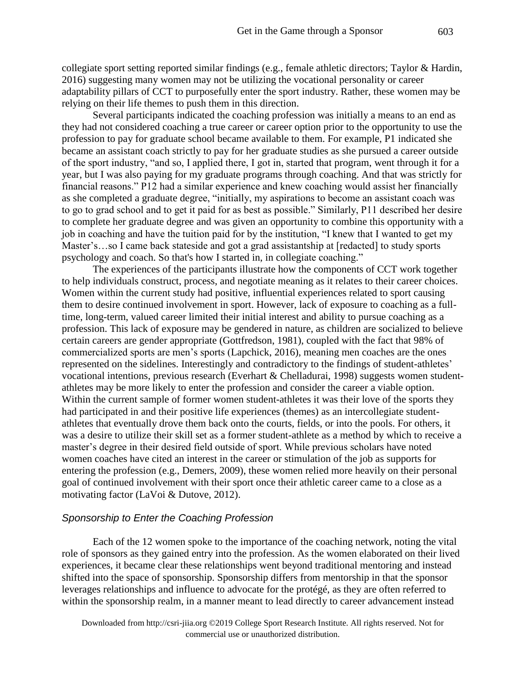collegiate sport setting reported similar findings (e.g., female athletic directors; Taylor & Hardin, 2016) suggesting many women may not be utilizing the vocational personality or career adaptability pillars of CCT to purposefully enter the sport industry. Rather, these women may be relying on their life themes to push them in this direction.

Several participants indicated the coaching profession was initially a means to an end as they had not considered coaching a true career or career option prior to the opportunity to use the profession to pay for graduate school became available to them. For example, P1 indicated she became an assistant coach strictly to pay for her graduate studies as she pursued a career outside of the sport industry, "and so, I applied there, I got in, started that program, went through it for a year, but I was also paying for my graduate programs through coaching. And that was strictly for financial reasons." P12 had a similar experience and knew coaching would assist her financially as she completed a graduate degree, "initially, my aspirations to become an assistant coach was to go to grad school and to get it paid for as best as possible." Similarly, P11 described her desire to complete her graduate degree and was given an opportunity to combine this opportunity with a job in coaching and have the tuition paid for by the institution, "I knew that I wanted to get my Master's…so I came back stateside and got a grad assistantship at [redacted] to study sports psychology and coach. So that's how I started in, in collegiate coaching."

The experiences of the participants illustrate how the components of CCT work together to help individuals construct, process, and negotiate meaning as it relates to their career choices. Women within the current study had positive, influential experiences related to sport causing them to desire continued involvement in sport. However, lack of exposure to coaching as a fulltime, long-term, valued career limited their initial interest and ability to pursue coaching as a profession. This lack of exposure may be gendered in nature, as children are socialized to believe certain careers are gender appropriate (Gottfredson, 1981), coupled with the fact that 98% of commercialized sports are men's sports (Lapchick, 2016), meaning men coaches are the ones represented on the sidelines. Interestingly and contradictory to the findings of student-athletes' vocational intentions, previous research (Everhart & Chelladurai, 1998) suggests women studentathletes may be more likely to enter the profession and consider the career a viable option. Within the current sample of former women student-athletes it was their love of the sports they had participated in and their positive life experiences (themes) as an intercollegiate studentathletes that eventually drove them back onto the courts, fields, or into the pools. For others, it was a desire to utilize their skill set as a former student-athlete as a method by which to receive a master's degree in their desired field outside of sport. While previous scholars have noted women coaches have cited an interest in the career or stimulation of the job as supports for entering the profession (e.g., Demers, 2009), these women relied more heavily on their personal goal of continued involvement with their sport once their athletic career came to a close as a motivating factor (LaVoi & Dutove, 2012).

### *Sponsorship to Enter the Coaching Profession*

Each of the 12 women spoke to the importance of the coaching network, noting the vital role of sponsors as they gained entry into the profession. As the women elaborated on their lived experiences, it became clear these relationships went beyond traditional mentoring and instead shifted into the space of sponsorship. Sponsorship differs from mentorship in that the sponsor leverages relationships and influence to advocate for the protégé, as they are often referred to within the sponsorship realm, in a manner meant to lead directly to career advancement instead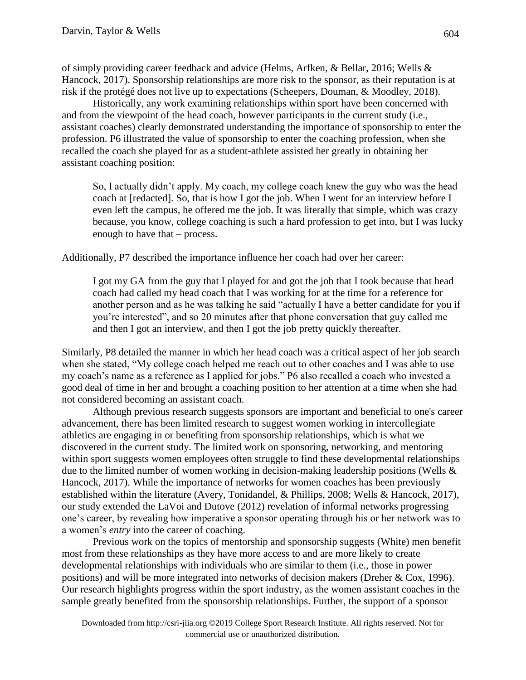of simply providing career feedback and advice (Helms, Arfken, & Bellar, 2016; Wells & Hancock, 2017). Sponsorship relationships are more risk to the sponsor, as their reputation is at risk if the protégé does not live up to expectations (Scheepers, Douman, & Moodley, 2018).

Historically, any work examining relationships within sport have been concerned with and from the viewpoint of the head coach, however participants in the current study (i.e., assistant coaches) clearly demonstrated understanding the importance of sponsorship to enter the profession. P6 illustrated the value of sponsorship to enter the coaching profession, when she recalled the coach she played for as a student-athlete assisted her greatly in obtaining her assistant coaching position:

So, I actually didn't apply. My coach, my college coach knew the guy who was the head coach at [redacted]. So, that is how I got the job. When I went for an interview before I even left the campus, he offered me the job. It was literally that simple, which was crazy because, you know, college coaching is such a hard profession to get into, but I was lucky enough to have that – process.

Additionally, P7 described the importance influence her coach had over her career:

I got my GA from the guy that I played for and got the job that I took because that head coach had called my head coach that I was working for at the time for a reference for another person and as he was talking he said "actually I have a better candidate for you if you're interested", and so 20 minutes after that phone conversation that guy called me and then I got an interview, and then I got the job pretty quickly thereafter.

Similarly, P8 detailed the manner in which her head coach was a critical aspect of her job search when she stated, "My college coach helped me reach out to other coaches and I was able to use my coach's name as a reference as I applied for jobs." P6 also recalled a coach who invested a good deal of time in her and brought a coaching position to her attention at a time when she had not considered becoming an assistant coach.

Although previous research suggests sponsors are important and beneficial to one's career advancement, there has been limited research to suggest women working in intercollegiate athletics are engaging in or benefiting from sponsorship relationships, which is what we discovered in the current study. The limited work on sponsoring, networking, and mentoring within sport suggests women employees often struggle to find these developmental relationships due to the limited number of women working in decision-making leadership positions (Wells & Hancock, 2017). While the importance of networks for women coaches has been previously established within the literature (Avery, Tonidandel, & Phillips, 2008; Wells & Hancock, 2017), our study extended the LaVoi and Dutove (2012) revelation of informal networks progressing one's career, by revealing how imperative a sponsor operating through his or her network was to a women's *entry* into the career of coaching.

Previous work on the topics of mentorship and sponsorship suggests (White) men benefit most from these relationships as they have more access to and are more likely to create developmental relationships with individuals who are similar to them (i.e., those in power positions) and will be more integrated into networks of decision makers (Dreher & Cox, 1996). Our research highlights progress within the sport industry, as the women assistant coaches in the sample greatly benefited from the sponsorship relationships. Further, the support of a sponsor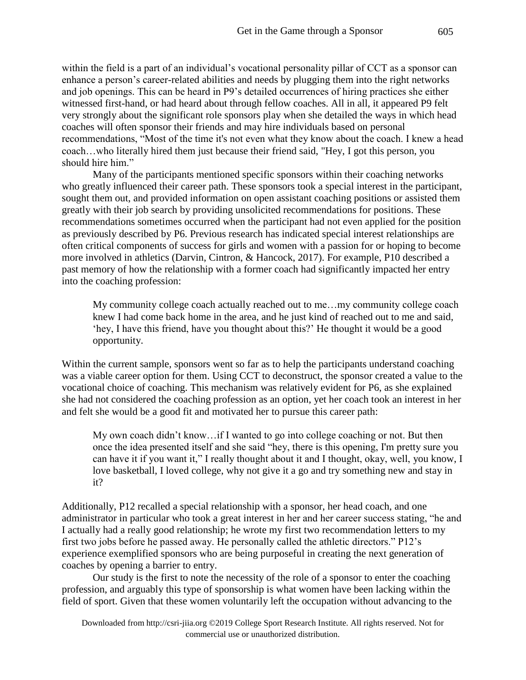within the field is a part of an individual's vocational personality pillar of CCT as a sponsor can enhance a person's career-related abilities and needs by plugging them into the right networks and job openings. This can be heard in P9's detailed occurrences of hiring practices she either witnessed first-hand, or had heard about through fellow coaches. All in all, it appeared P9 felt very strongly about the significant role sponsors play when she detailed the ways in which head coaches will often sponsor their friends and may hire individuals based on personal recommendations, "Most of the time it's not even what they know about the coach. I knew a head coach…who literally hired them just because their friend said, "Hey, I got this person, you should hire him."

Many of the participants mentioned specific sponsors within their coaching networks who greatly influenced their career path. These sponsors took a special interest in the participant, sought them out, and provided information on open assistant coaching positions or assisted them greatly with their job search by providing unsolicited recommendations for positions. These recommendations sometimes occurred when the participant had not even applied for the position as previously described by P6. Previous research has indicated special interest relationships are often critical components of success for girls and women with a passion for or hoping to become more involved in athletics (Darvin, Cintron, & Hancock, 2017). For example, P10 described a past memory of how the relationship with a former coach had significantly impacted her entry into the coaching profession:

My community college coach actually reached out to me…my community college coach knew I had come back home in the area, and he just kind of reached out to me and said, 'hey, I have this friend, have you thought about this?' He thought it would be a good opportunity.

Within the current sample, sponsors went so far as to help the participants understand coaching was a viable career option for them. Using CCT to deconstruct, the sponsor created a value to the vocational choice of coaching. This mechanism was relatively evident for P6, as she explained she had not considered the coaching profession as an option, yet her coach took an interest in her and felt she would be a good fit and motivated her to pursue this career path:

My own coach didn't know…if I wanted to go into college coaching or not. But then once the idea presented itself and she said "hey, there is this opening, I'm pretty sure you can have it if you want it," I really thought about it and I thought, okay, well, you know, I love basketball, I loved college, why not give it a go and try something new and stay in it?

Additionally, P12 recalled a special relationship with a sponsor, her head coach, and one administrator in particular who took a great interest in her and her career success stating, "he and I actually had a really good relationship; he wrote my first two recommendation letters to my first two jobs before he passed away. He personally called the athletic directors." P12's experience exemplified sponsors who are being purposeful in creating the next generation of coaches by opening a barrier to entry.

Our study is the first to note the necessity of the role of a sponsor to enter the coaching profession, and arguably this type of sponsorship is what women have been lacking within the field of sport. Given that these women voluntarily left the occupation without advancing to the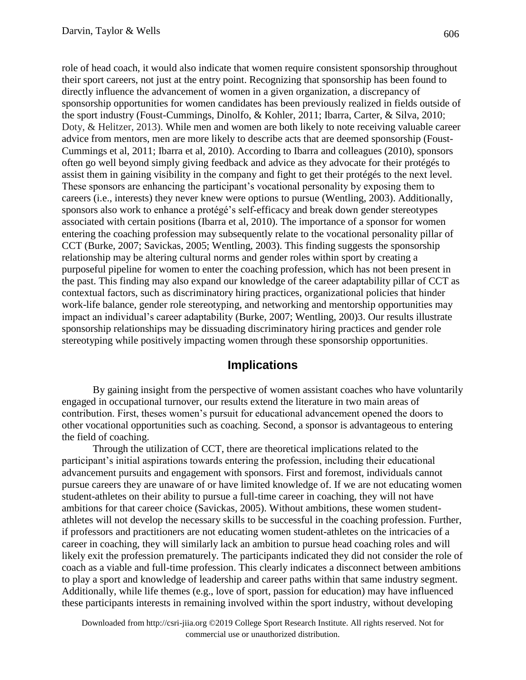role of head coach, it would also indicate that women require consistent sponsorship throughout their sport careers, not just at the entry point. Recognizing that sponsorship has been found to directly influence the advancement of women in a given organization, a discrepancy of sponsorship opportunities for women candidates has been previously realized in fields outside of the sport industry (Foust-Cummings, Dinolfo, & Kohler, 2011; Ibarra, Carter, & Silva, 2010; Doty, & Helitzer, 2013). While men and women are both likely to note receiving valuable career advice from mentors, men are more likely to describe acts that are deemed sponsorship (Foust-Cummings et al, 2011; Ibarra et al, 2010). According to Ibarra and colleagues (2010), sponsors often go well beyond simply giving feedback and advice as they advocate for their protégés to assist them in gaining visibility in the company and fight to get their protégés to the next level. These sponsors are enhancing the participant's vocational personality by exposing them to careers (i.e., interests) they never knew were options to pursue (Wentling, 2003). Additionally, sponsors also work to enhance a protégé's self-efficacy and break down gender stereotypes associated with certain positions (Ibarra et al, 2010). The importance of a sponsor for women entering the coaching profession may subsequently relate to the vocational personality pillar of CCT (Burke, 2007; Savickas, 2005; Wentling, 2003). This finding suggests the sponsorship relationship may be altering cultural norms and gender roles within sport by creating a purposeful pipeline for women to enter the coaching profession, which has not been present in the past. This finding may also expand our knowledge of the career adaptability pillar of CCT as contextual factors, such as discriminatory hiring practices, organizational policies that hinder work-life balance, gender role stereotyping, and networking and mentorship opportunities may impact an individual's career adaptability (Burke, 2007; Wentling, 200)3. Our results illustrate sponsorship relationships may be dissuading discriminatory hiring practices and gender role stereotyping while positively impacting women through these sponsorship opportunities.

# **Implications**

By gaining insight from the perspective of women assistant coaches who have voluntarily engaged in occupational turnover, our results extend the literature in two main areas of contribution. First, theses women's pursuit for educational advancement opened the doors to other vocational opportunities such as coaching. Second, a sponsor is advantageous to entering the field of coaching.

Through the utilization of CCT, there are theoretical implications related to the participant's initial aspirations towards entering the profession, including their educational advancement pursuits and engagement with sponsors. First and foremost, individuals cannot pursue careers they are unaware of or have limited knowledge of. If we are not educating women student-athletes on their ability to pursue a full-time career in coaching, they will not have ambitions for that career choice (Savickas, 2005). Without ambitions, these women studentathletes will not develop the necessary skills to be successful in the coaching profession. Further, if professors and practitioners are not educating women student-athletes on the intricacies of a career in coaching, they will similarly lack an ambition to pursue head coaching roles and will likely exit the profession prematurely. The participants indicated they did not consider the role of coach as a viable and full-time profession. This clearly indicates a disconnect between ambitions to play a sport and knowledge of leadership and career paths within that same industry segment. Additionally, while life themes (e.g., love of sport, passion for education) may have influenced these participants interests in remaining involved within the sport industry, without developing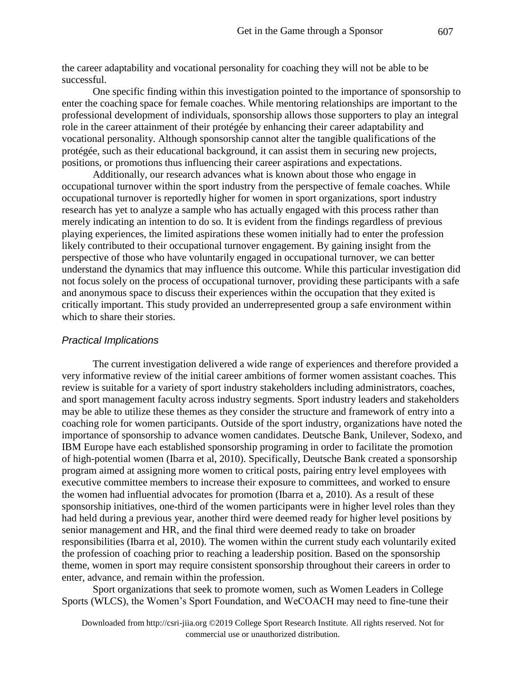the career adaptability and vocational personality for coaching they will not be able to be successful.

One specific finding within this investigation pointed to the importance of sponsorship to enter the coaching space for female coaches. While mentoring relationships are important to the professional development of individuals, sponsorship allows those supporters to play an integral role in the career attainment of their protégée by enhancing their career adaptability and vocational personality. Although sponsorship cannot alter the tangible qualifications of the protégée, such as their educational background, it can assist them in securing new projects, positions, or promotions thus influencing their career aspirations and expectations.

Additionally, our research advances what is known about those who engage in occupational turnover within the sport industry from the perspective of female coaches. While occupational turnover is reportedly higher for women in sport organizations, sport industry research has yet to analyze a sample who has actually engaged with this process rather than merely indicating an intention to do so. It is evident from the findings regardless of previous playing experiences, the limited aspirations these women initially had to enter the profession likely contributed to their occupational turnover engagement. By gaining insight from the perspective of those who have voluntarily engaged in occupational turnover, we can better understand the dynamics that may influence this outcome. While this particular investigation did not focus solely on the process of occupational turnover, providing these participants with a safe and anonymous space to discuss their experiences within the occupation that they exited is critically important. This study provided an underrepresented group a safe environment within which to share their stories.

### *Practical Implications*

The current investigation delivered a wide range of experiences and therefore provided a very informative review of the initial career ambitions of former women assistant coaches. This review is suitable for a variety of sport industry stakeholders including administrators, coaches, and sport management faculty across industry segments. Sport industry leaders and stakeholders may be able to utilize these themes as they consider the structure and framework of entry into a coaching role for women participants. Outside of the sport industry, organizations have noted the importance of sponsorship to advance women candidates. Deutsche Bank, Unilever, Sodexo, and IBM Europe have each established sponsorship programing in order to facilitate the promotion of high-potential women (Ibarra et al, 2010). Specifically, Deutsche Bank created a sponsorship program aimed at assigning more women to critical posts, pairing entry level employees with executive committee members to increase their exposure to committees, and worked to ensure the women had influential advocates for promotion (Ibarra et a, 2010). As a result of these sponsorship initiatives, one-third of the women participants were in higher level roles than they had held during a previous year, another third were deemed ready for higher level positions by senior management and HR, and the final third were deemed ready to take on broader responsibilities (Ibarra et al, 2010). The women within the current study each voluntarily exited the profession of coaching prior to reaching a leadership position. Based on the sponsorship theme, women in sport may require consistent sponsorship throughout their careers in order to enter, advance, and remain within the profession.

Sport organizations that seek to promote women, such as Women Leaders in College Sports (WLCS), the Women's Sport Foundation, and WeCOACH may need to fine-tune their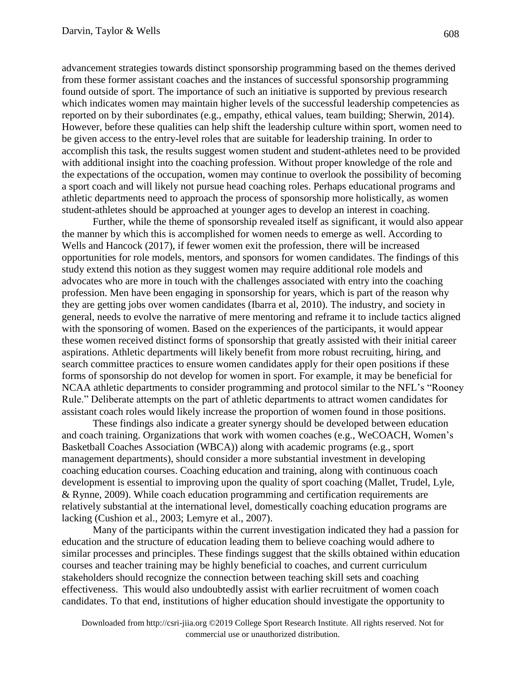advancement strategies towards distinct sponsorship programming based on the themes derived from these former assistant coaches and the instances of successful sponsorship programming found outside of sport. The importance of such an initiative is supported by previous research which indicates women may maintain higher levels of the successful leadership competencies as reported on by their subordinates (e.g., empathy, ethical values, team building; Sherwin, 2014). However, before these qualities can help shift the leadership culture within sport, women need to be given access to the entry-level roles that are suitable for leadership training. In order to accomplish this task, the results suggest women student and student-athletes need to be provided with additional insight into the coaching profession. Without proper knowledge of the role and the expectations of the occupation, women may continue to overlook the possibility of becoming a sport coach and will likely not pursue head coaching roles. Perhaps educational programs and athletic departments need to approach the process of sponsorship more holistically, as women student-athletes should be approached at younger ages to develop an interest in coaching.

Further, while the theme of sponsorship revealed itself as significant, it would also appear the manner by which this is accomplished for women needs to emerge as well. According to Wells and Hancock (2017), if fewer women exit the profession, there will be increased opportunities for role models, mentors, and sponsors for women candidates. The findings of this study extend this notion as they suggest women may require additional role models and advocates who are more in touch with the challenges associated with entry into the coaching profession. Men have been engaging in sponsorship for years, which is part of the reason why they are getting jobs over women candidates (Ibarra et al, 2010). The industry, and society in general, needs to evolve the narrative of mere mentoring and reframe it to include tactics aligned with the sponsoring of women. Based on the experiences of the participants, it would appear these women received distinct forms of sponsorship that greatly assisted with their initial career aspirations. Athletic departments will likely benefit from more robust recruiting, hiring, and search committee practices to ensure women candidates apply for their open positions if these forms of sponsorship do not develop for women in sport. For example, it may be beneficial for NCAA athletic departments to consider programming and protocol similar to the NFL's "Rooney Rule." Deliberate attempts on the part of athletic departments to attract women candidates for assistant coach roles would likely increase the proportion of women found in those positions.

These findings also indicate a greater synergy should be developed between education and coach training. Organizations that work with women coaches (e.g., WeCOACH, Women's Basketball Coaches Association (WBCA)) along with academic programs (e.g., sport management departments), should consider a more substantial investment in developing coaching education courses. Coaching education and training, along with continuous coach development is essential to improving upon the quality of sport coaching (Mallet, Trudel, Lyle, & Rynne, 2009). While coach education programming and certification requirements are relatively substantial at the international level, domestically coaching education programs are lacking (Cushion et al., 2003; Lemyre et al., 2007).

Many of the participants within the current investigation indicated they had a passion for education and the structure of education leading them to believe coaching would adhere to similar processes and principles. These findings suggest that the skills obtained within education courses and teacher training may be highly beneficial to coaches, and current curriculum stakeholders should recognize the connection between teaching skill sets and coaching effectiveness. This would also undoubtedly assist with earlier recruitment of women coach candidates. To that end, institutions of higher education should investigate the opportunity to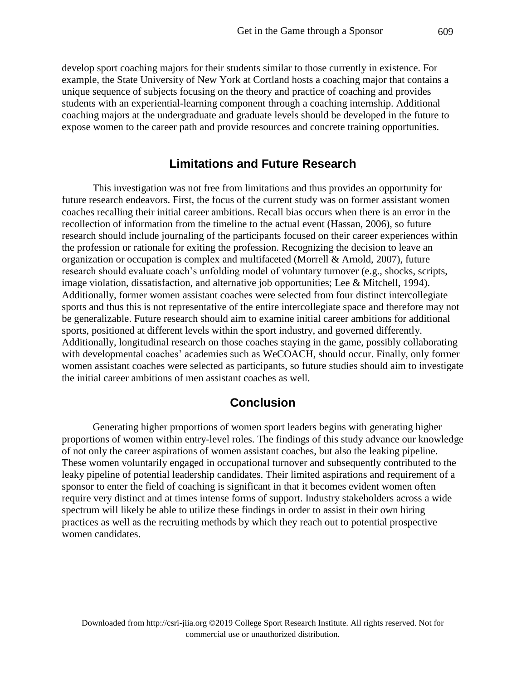develop sport coaching majors for their students similar to those currently in existence. For example, the State University of New York at Cortland hosts a coaching major that contains a unique sequence of subjects focusing on the theory and practice of coaching and provides students with an experiential-learning component through a coaching internship. Additional coaching majors at the undergraduate and graduate levels should be developed in the future to expose women to the career path and provide resources and concrete training opportunities.

## **Limitations and Future Research**

This investigation was not free from limitations and thus provides an opportunity for future research endeavors. First, the focus of the current study was on former assistant women coaches recalling their initial career ambitions. Recall bias occurs when there is an error in the recollection of information from the timeline to the actual event (Hassan, 2006), so future research should include journaling of the participants focused on their career experiences within the profession or rationale for exiting the profession. Recognizing the decision to leave an organization or occupation is complex and multifaceted (Morrell & Arnold, 2007), future research should evaluate coach's unfolding model of voluntary turnover (e.g., shocks, scripts, image violation, dissatisfaction, and alternative job opportunities; Lee & Mitchell, 1994). Additionally, former women assistant coaches were selected from four distinct intercollegiate sports and thus this is not representative of the entire intercollegiate space and therefore may not be generalizable. Future research should aim to examine initial career ambitions for additional sports, positioned at different levels within the sport industry, and governed differently. Additionally, longitudinal research on those coaches staying in the game, possibly collaborating with developmental coaches' academies such as WeCOACH, should occur. Finally, only former women assistant coaches were selected as participants, so future studies should aim to investigate the initial career ambitions of men assistant coaches as well.

# **Conclusion**

Generating higher proportions of women sport leaders begins with generating higher proportions of women within entry-level roles. The findings of this study advance our knowledge of not only the career aspirations of women assistant coaches, but also the leaking pipeline. These women voluntarily engaged in occupational turnover and subsequently contributed to the leaky pipeline of potential leadership candidates. Their limited aspirations and requirement of a sponsor to enter the field of coaching is significant in that it becomes evident women often require very distinct and at times intense forms of support. Industry stakeholders across a wide spectrum will likely be able to utilize these findings in order to assist in their own hiring practices as well as the recruiting methods by which they reach out to potential prospective women candidates.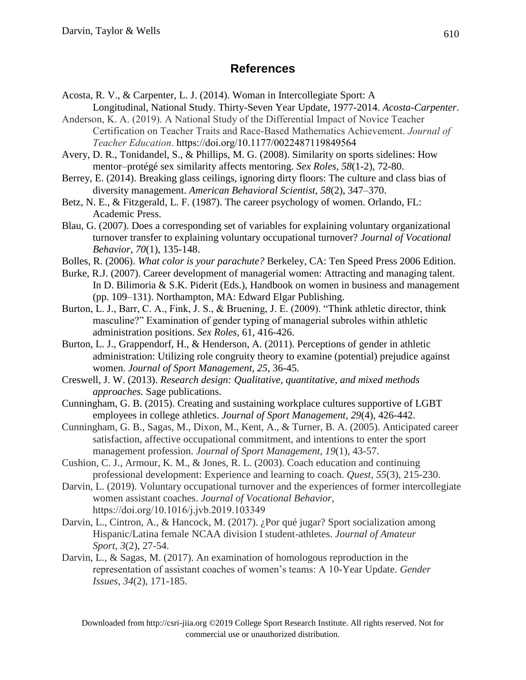# **References**

- Acosta, R. V., & Carpenter, L. J. (2014). Woman in Intercollegiate Sport: A
- Longitudinal, National Study. Thirty-Seven Year Update, 1977-2014. *Acosta-Carpenter*. Anderson, K. A. (2019). A National Study of the Differential Impact of Novice Teacher Certification on Teacher Traits and Race-Based Mathematics Achievement. *Journal of Teacher Education*. https://doi.org/10.1177/0022487119849564
- Avery, D. R., Tonidandel, S., & Phillips, M. G. (2008). Similarity on sports sidelines: How mentor–protégé sex similarity affects mentoring. *Sex Roles*, *58*(1-2), 72-80.
- Berrey, E. (2014). Breaking glass ceilings, ignoring dirty floors: The culture and class bias of diversity management. *American Behavioral Scientist, 58*(2), 347–370.
- Betz, N. E., & Fitzgerald, L. F. (1987). The career psychology of women. Orlando, FL: Academic Press.
- Blau, G. (2007). Does a corresponding set of variables for explaining voluntary organizational turnover transfer to explaining voluntary occupational turnover? *Journal of Vocational Behavior*, *70*(1), 135-148.
- Bolles, R. (2006). *What color is your parachute?* Berkeley, CA: Ten Speed Press 2006 Edition.
- Burke, R.J. (2007). Career development of managerial women: Attracting and managing talent. In D. Bilimoria & S.K. Piderit (Eds.), Handbook on women in business and management (pp. 109–131). Northampton, MA: Edward Elgar Publishing.
- Burton, L. J., Barr, C. A., Fink, J. S., & Bruening, J. E. (2009). "Think athletic director, think masculine?" Examination of gender typing of managerial subroles within athletic administration positions. *Sex Roles*, 61, 416-426.
- Burton, L. J., Grappendorf, H., & Henderson, A. (2011). Perceptions of gender in athletic administration: Utilizing role congruity theory to examine (potential) prejudice against women. *Journal of Sport Management, 25*, 36-45.
- Creswell, J. W. (2013). *Research design: Qualitative, quantitative, and mixed methods approaches*. Sage publications.
- Cunningham, G. B. (2015). Creating and sustaining workplace cultures supportive of LGBT employees in college athletics. *Journal of Sport Management*, *29*(4), 426-442.
- Cunningham, G. B., Sagas, M., Dixon, M., Kent, A., & Turner, B. A. (2005). Anticipated career satisfaction, affective occupational commitment, and intentions to enter the sport management profession. *Journal of Sport Management*, *19*(1), 43-57.
- Cushion, C. J., Armour, K. M., & Jones, R. L. (2003). Coach education and continuing professional development: Experience and learning to coach. *Quest*, *55*(3), 215-230.
- Darvin, L. (2019). Voluntary occupational turnover and the experiences of former intercollegiate women assistant coaches. *Journal of Vocational Behavior*, https://doi.org/10.1016/j.jvb.2019.103349
- Darvin, L., Cintron, A., & Hancock, M. (2017). ¿Por qué jugar? Sport socialization among Hispanic/Latina female NCAA division I student-athletes. *Journal of Amateur Sport*, *3*(2), 27-54.
- Darvin, L., & Sagas, M. (2017). An examination of homologous reproduction in the representation of assistant coaches of women's teams: A 10-Year Update. *Gender Issues*, *34*(2), 171-185.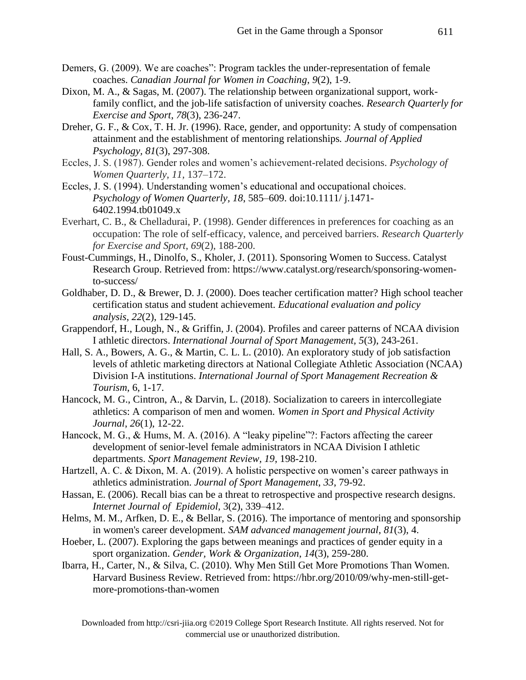- Demers, G. (2009). We are coaches": Program tackles the under-representation of female coaches. *Canadian Journal for Women in Coaching*, *9*(2), 1-9.
- Dixon, M. A., & Sagas, M. (2007). The relationship between organizational support, workfamily conflict, and the job-life satisfaction of university coaches. *Research Quarterly for Exercise and Sport*, *78*(3), 236-247.
- Dreher, G. F., & Cox, T. H. Jr. (1996). Race, gender, and opportunity: A study of compensation attainment and the establishment of mentoring relationships*. Journal of Applied Psychology, 81*(3), 297-308.
- Eccles, J. S. (1987). Gender roles and women's achievement-related decisions. *Psychology of Women Quarterly, 11,* 137–172.
- Eccles, J. S. (1994). Understanding women's educational and occupational choices. *Psychology of Women Quarterly, 18*, 585–609. doi:10.1111/ j.1471- 6402.1994.tb01049.x
- Everhart, C. B., & Chelladurai, P. (1998). Gender differences in preferences for coaching as an occupation: The role of self-efficacy, valence, and perceived barriers. *Research Quarterly for Exercise and Sport*, *69*(2), 188-200.
- Foust-Cummings, H., Dinolfo, S., Kholer, J. (2011). Sponsoring Women to Success. Catalyst Research Group. Retrieved from: https://www.catalyst.org/research/sponsoring-womento-success/
- Goldhaber, D. D., & Brewer, D. J. (2000). Does teacher certification matter? High school teacher certification status and student achievement. *Educational evaluation and policy analysis*, *22*(2), 129-145.
- Grappendorf, H., Lough, N., & Griffin, J. (2004). Profiles and career patterns of NCAA division I athletic directors. *International Journal of Sport Management, 5*(3), 243-261.
- Hall, S. A., Bowers, A. G., & Martin, C. L. L. (2010). An exploratory study of job satisfaction levels of athletic marketing directors at National Collegiate Athletic Association (NCAA) Division I-A institutions. *International Journal of Sport Management Recreation & Tourism*, 6, 1-17.
- Hancock, M. G., Cintron, A., & Darvin, L. (2018). Socialization to careers in intercollegiate athletics: A comparison of men and women. *Women in Sport and Physical Activity Journal*, *26*(1), 12-22.
- Hancock, M. G., & Hums, M. A. (2016). A "leaky pipeline"?: Factors affecting the career development of senior-level female administrators in NCAA Division I athletic departments. *Sport Management Review, 19*, 198-210.
- Hartzell, A. C. & Dixon, M. A. (2019). A holistic perspective on women's career pathways in athletics administration. *Journal of Sport Management*, *33*, 79-92.
- Hassan, E. (2006). Recall bias can be a threat to retrospective and prospective research designs. *Internet Journal of Epidemiol,* 3(2), 339–412.
- Helms, M. M., Arfken, D. E., & Bellar, S. (2016). The importance of mentoring and sponsorship in women's career development. *SAM advanced management journal*, *81*(3), 4.
- Hoeber, L. (2007). Exploring the gaps between meanings and practices of gender equity in a sport organization. *Gender, Work & Organization*, *14*(3), 259-280.
- Ibarra, H., Carter, N., & Silva, C. (2010). Why Men Still Get More Promotions Than Women. Harvard Business Review. Retrieved from: https://hbr.org/2010/09/why-men-still-getmore-promotions-than-women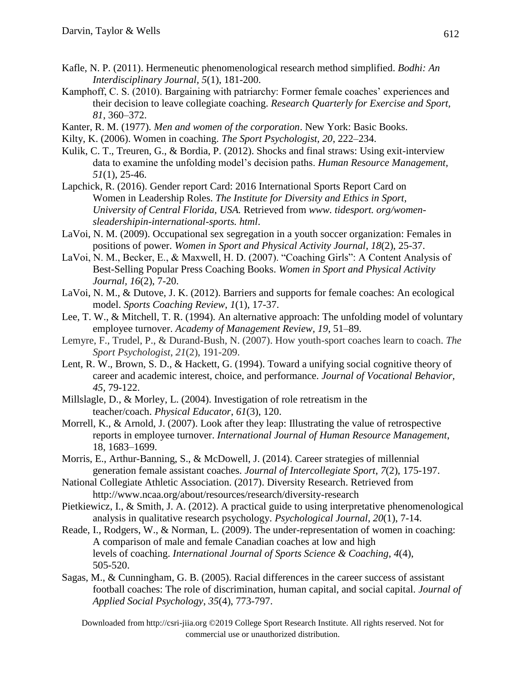- Kafle, N. P. (2011). Hermeneutic phenomenological research method simplified. *Bodhi: An Interdisciplinary Journal, 5*(1), 181-200.
- Kamphoff, C. S. (2010). Bargaining with patriarchy: Former female coaches' experiences and their decision to leave collegiate coaching. *Research Quarterly for Exercise and Sport, 81*, 360–372.
- Kanter, R. M. (1977). *Men and women of the corporation*. New York: Basic Books.
- Kilty, K. (2006). Women in coaching. *The Sport Psychologist, 20*, 222–234.
- Kulik, C. T., Treuren, G., & Bordia, P. (2012). Shocks and final straws: Using exit-interview data to examine the unfolding model's decision paths. *Human Resource Management, 51*(1), 25-46.
- Lapchick, R. (2016). Gender report Card: 2016 International Sports Report Card on Women in Leadership Roles. *The Institute for Diversity and Ethics in Sport, University of Central Florida, USA.* Retrieved from *www. tidesport. org/womensleadershipin-international-sports. html*.
- LaVoi, N. M. (2009). Occupational sex segregation in a youth soccer organization: Females in positions of power. *Women in Sport and Physical Activity Journal*, *18*(2), 25-37.
- LaVoi, N. M., Becker, E., & Maxwell, H. D. (2007). "Coaching Girls": A Content Analysis of Best-Selling Popular Press Coaching Books. *Women in Sport and Physical Activity Journal, 16*(2), 7-20.
- LaVoi, N. M., & Dutove, J. K. (2012). Barriers and supports for female coaches: An ecological model. *Sports Coaching Review*, *1*(1), 17-37.
- Lee, T. W., & Mitchell, T. R. (1994). An alternative approach: The unfolding model of voluntary employee turnover. *Academy of Management Review, 19*, 51–89.
- Lemyre, F., Trudel, P., & Durand-Bush, N. (2007). How youth-sport coaches learn to coach. *The Sport Psychologist*, *21*(2), 191-209.
- Lent, R. W., Brown, S. D., & Hackett, G. (1994). Toward a unifying social cognitive theory of career and academic interest, choice, and performance. *Journal of Vocational Behavior, 45*, 79-122.
- Millslagle, D., & Morley, L. (2004). Investigation of role retreatism in the teacher/coach. *Physical Educator*, *61*(3), 120.
- Morrell, K., & Arnold, J. (2007). Look after they leap: Illustrating the value of retrospective reports in employee turnover. *International Journal of Human Resource Management*, 18, 1683–1699.
- Morris, E., Arthur-Banning, S., & McDowell, J. (2014). Career strategies of millennial generation female assistant coaches. *Journal of Intercollegiate Sport*, *7*(2), 175-197.
- National Collegiate Athletic Association. (2017). Diversity Research. Retrieved from http://www.ncaa.org/about/resources/research/diversity-research
- Pietkiewicz, I., & Smith, J. A. (2012). A practical guide to using interpretative phenomenological analysis in qualitative research psychology. *Psychological Journal*, *20*(1), 7-14.
- Reade, I., Rodgers, W., & Norman, L. (2009). The under-representation of women in coaching: A comparison of male and female Canadian coaches at low and high levels of coaching. *International Journal of Sports Science & Coaching*, *4*(4), 505-520.
- Sagas, M., & Cunningham, G. B. (2005). Racial differences in the career success of assistant football coaches: The role of discrimination, human capital, and social capital. *Journal of Applied Social Psychology*, *35*(4), 773-797.